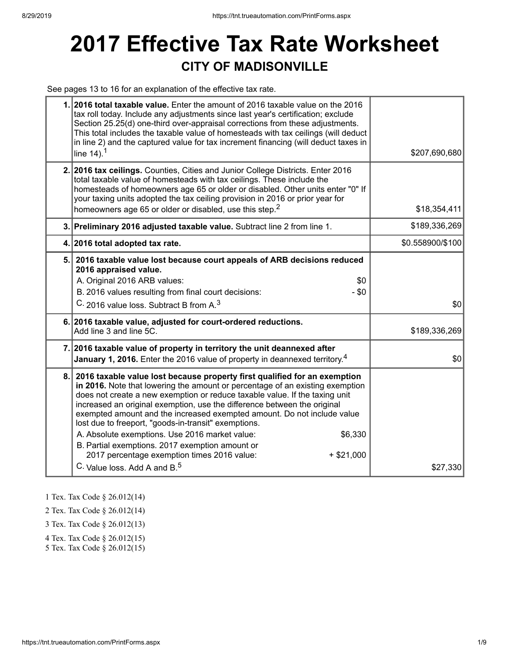## **2017 Effective Tax Rate Worksheet CITY OF MADISONVILLE**

See pages 13 to 16 for an explanation of the effective tax rate.

|    | 1. 2016 total taxable value. Enter the amount of 2016 taxable value on the 2016<br>tax roll today. Include any adjustments since last year's certification; exclude<br>Section 25.25(d) one-third over-appraisal corrections from these adjustments.<br>This total includes the taxable value of homesteads with tax ceilings (will deduct<br>in line 2) and the captured value for tax increment financing (will deduct taxes in<br>line $14$ ). <sup>1</sup>                                                                                                                                                                                                                      | \$207,690,680    |
|----|-------------------------------------------------------------------------------------------------------------------------------------------------------------------------------------------------------------------------------------------------------------------------------------------------------------------------------------------------------------------------------------------------------------------------------------------------------------------------------------------------------------------------------------------------------------------------------------------------------------------------------------------------------------------------------------|------------------|
|    | 2. 2016 tax ceilings. Counties, Cities and Junior College Districts. Enter 2016<br>total taxable value of homesteads with tax ceilings. These include the<br>homesteads of homeowners age 65 or older or disabled. Other units enter "0" If<br>your taxing units adopted the tax ceiling provision in 2016 or prior year for<br>homeowners age 65 or older or disabled, use this step. <sup>2</sup>                                                                                                                                                                                                                                                                                 | \$18,354,411     |
|    | 3. Preliminary 2016 adjusted taxable value. Subtract line 2 from line 1.                                                                                                                                                                                                                                                                                                                                                                                                                                                                                                                                                                                                            | \$189,336,269    |
|    | 4. 2016 total adopted tax rate.                                                                                                                                                                                                                                                                                                                                                                                                                                                                                                                                                                                                                                                     | \$0.558900/\$100 |
|    | 5. 2016 taxable value lost because court appeals of ARB decisions reduced<br>2016 appraised value.<br>A. Original 2016 ARB values:<br>\$0<br>B. 2016 values resulting from final court decisions:<br>$-$ \$0<br>C. 2016 value loss. Subtract B from A. <sup>3</sup>                                                                                                                                                                                                                                                                                                                                                                                                                 | \$0              |
|    | 6. 2016 taxable value, adjusted for court-ordered reductions.<br>Add line 3 and line 5C.                                                                                                                                                                                                                                                                                                                                                                                                                                                                                                                                                                                            | \$189,336,269    |
|    | 7. 2016 taxable value of property in territory the unit deannexed after<br><b>January 1, 2016.</b> Enter the 2016 value of property in deannexed territory. <sup>4</sup>                                                                                                                                                                                                                                                                                                                                                                                                                                                                                                            | \$0              |
| 8. | 2016 taxable value lost because property first qualified for an exemption<br>in 2016. Note that lowering the amount or percentage of an existing exemption<br>does not create a new exemption or reduce taxable value. If the taxing unit<br>increased an original exemption, use the difference between the original<br>exempted amount and the increased exempted amount. Do not include value<br>lost due to freeport, "goods-in-transit" exemptions.<br>A. Absolute exemptions. Use 2016 market value:<br>\$6,330<br>B. Partial exemptions. 2017 exemption amount or<br>2017 percentage exemption times 2016 value:<br>$+$ \$21,000<br>C. Value loss, Add A and B. <sup>5</sup> | \$27,330         |

1 Tex. Tax Code § 26.012(14)

2 Tex. Tax Code § 26.012(14)

3 Tex. Tax Code § 26.012(13)

4 Tex. Tax Code § 26.012(15)

5 Tex. Tax Code § 26.012(15)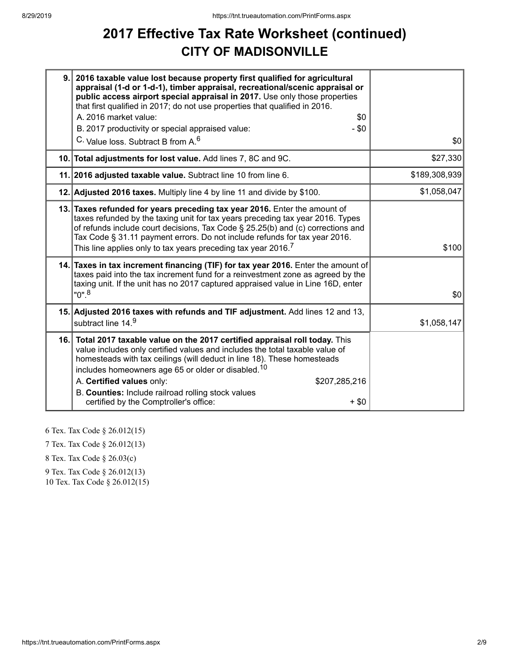### **2017 Effective Tax Rate Worksheet (continued) CITY OF MADISONVILLE**

| 9. | 2016 taxable value lost because property first qualified for agricultural<br>appraisal (1-d or 1-d-1), timber appraisal, recreational/scenic appraisal or<br>public access airport special appraisal in 2017. Use only those properties<br>that first qualified in 2017; do not use properties that qualified in 2016.<br>A. 2016 market value:<br>\$0<br>$-$ \$0<br>B. 2017 productivity or special appraised value:<br>C. Value loss. Subtract B from A. <sup>6</sup> | \$0           |
|----|-------------------------------------------------------------------------------------------------------------------------------------------------------------------------------------------------------------------------------------------------------------------------------------------------------------------------------------------------------------------------------------------------------------------------------------------------------------------------|---------------|
|    | 10. Total adjustments for lost value. Add lines 7, 8C and 9C.                                                                                                                                                                                                                                                                                                                                                                                                           | \$27,330      |
|    | 11. 2016 adjusted taxable value. Subtract line 10 from line 6.                                                                                                                                                                                                                                                                                                                                                                                                          | \$189,308,939 |
|    | 12. Adjusted 2016 taxes. Multiply line 4 by line 11 and divide by \$100.                                                                                                                                                                                                                                                                                                                                                                                                | \$1,058,047   |
|    | 13. Taxes refunded for years preceding tax year 2016. Enter the amount of<br>taxes refunded by the taxing unit for tax years preceding tax year 2016. Types<br>of refunds include court decisions, Tax Code § 25.25(b) and (c) corrections and<br>Tax Code § 31.11 payment errors. Do not include refunds for tax year 2016.<br>This line applies only to tax years preceding tax year 2016. $^7$                                                                       | \$100         |
|    | 14. Taxes in tax increment financing (TIF) for tax year 2016. Enter the amount of<br>taxes paid into the tax increment fund for a reinvestment zone as agreed by the<br>taxing unit. If the unit has no 2017 captured appraised value in Line 16D, enter<br>"0". <sup>8</sup>                                                                                                                                                                                           | \$0           |
|    | 15. Adjusted 2016 taxes with refunds and TIF adjustment. Add lines 12 and 13,<br>subtract line 14.9                                                                                                                                                                                                                                                                                                                                                                     | \$1,058,147   |
|    | 16. Total 2017 taxable value on the 2017 certified appraisal roll today. This<br>value includes only certified values and includes the total taxable value of<br>homesteads with tax ceilings (will deduct in line 18). These homesteads<br>includes homeowners age 65 or older or disabled. <sup>10</sup><br>A. Certified values only:<br>\$207,285,216<br>B. Counties: Include railroad rolling stock values<br>certified by the Comptroller's office:<br>$+$ \$0     |               |

6 Tex. Tax Code § 26.012(15)

7 Tex. Tax Code § 26.012(13)

8 Tex. Tax Code § 26.03(c)

9 Tex. Tax Code § 26.012(13)

10 Tex. Tax Code § 26.012(15)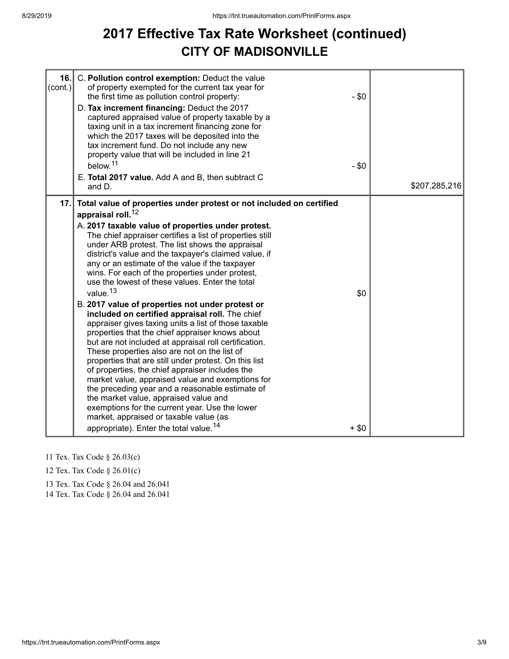#### **2017 Effective Tax Rate Worksheet (continued) CITY OF MADISONVILLE**

| 16.<br>$\text{(cont.)}$ | C. Pollution control exemption: Deduct the value<br>of property exempted for the current tax year for<br>the first time as pollution control property:<br>D. Tax increment financing: Deduct the 2017<br>captured appraised value of property taxable by a<br>taxing unit in a tax increment financing zone for<br>which the 2017 taxes will be deposited into the<br>tax increment fund. Do not include any new<br>property value that will be included in line 21<br>below. <sup>11</sup><br>E. Total 2017 value. Add A and B, then subtract C<br>and D.                                                                                                                                                                                                                                                                                                                                                                                                                                                                                                                                                                                                                                                                                                    | $-$ \$0<br>$-$ \$0 | \$207,285,216 |
|-------------------------|---------------------------------------------------------------------------------------------------------------------------------------------------------------------------------------------------------------------------------------------------------------------------------------------------------------------------------------------------------------------------------------------------------------------------------------------------------------------------------------------------------------------------------------------------------------------------------------------------------------------------------------------------------------------------------------------------------------------------------------------------------------------------------------------------------------------------------------------------------------------------------------------------------------------------------------------------------------------------------------------------------------------------------------------------------------------------------------------------------------------------------------------------------------------------------------------------------------------------------------------------------------|--------------------|---------------|
| 17.                     | Total value of properties under protest or not included on certified<br>appraisal roll. <sup>12</sup><br>A. 2017 taxable value of properties under protest.<br>The chief appraiser certifies a list of properties still<br>under ARB protest. The list shows the appraisal<br>district's value and the taxpayer's claimed value, if<br>any or an estimate of the value if the taxpayer<br>wins. For each of the properties under protest,<br>use the lowest of these values. Enter the total<br>value. <sup>13</sup><br>B. 2017 value of properties not under protest or<br>included on certified appraisal roll. The chief<br>appraiser gives taxing units a list of those taxable<br>properties that the chief appraiser knows about<br>but are not included at appraisal roll certification.<br>These properties also are not on the list of<br>properties that are still under protest. On this list<br>of properties, the chief appraiser includes the<br>market value, appraised value and exemptions for<br>the preceding year and a reasonable estimate of<br>the market value, appraised value and<br>exemptions for the current year. Use the lower<br>market, appraised or taxable value (as<br>appropriate). Enter the total value. <sup>14</sup> | \$0<br>$+ $0$      |               |

- 11 Tex. Tax Code § 26.03(c)
- 12 Tex. Tax Code § 26.01(c)
- 13 Tex. Tax Code § 26.04 and 26.041

14 Tex. Tax Code § 26.04 and 26.041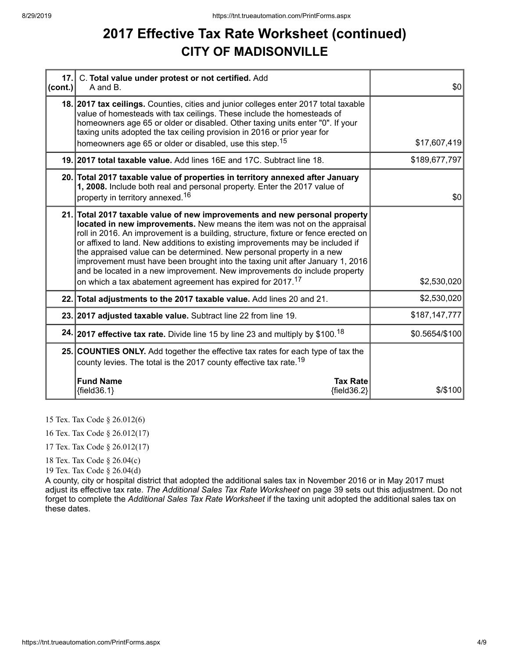#### **2017 Effective Tax Rate Worksheet (continued) CITY OF MADISONVILLE**

| cont. | 17. C. Total value under protest or not certified. Add<br>A and B.                                                                                                                                                                                                                                                                                                                                                                                                                                                                                                                                                                             | \$0            |
|-------|------------------------------------------------------------------------------------------------------------------------------------------------------------------------------------------------------------------------------------------------------------------------------------------------------------------------------------------------------------------------------------------------------------------------------------------------------------------------------------------------------------------------------------------------------------------------------------------------------------------------------------------------|----------------|
|       | 18. 2017 tax ceilings. Counties, cities and junior colleges enter 2017 total taxable<br>value of homesteads with tax ceilings. These include the homesteads of<br>homeowners age 65 or older or disabled. Other taxing units enter "0". If your<br>taxing units adopted the tax ceiling provision in 2016 or prior year for<br>homeowners age 65 or older or disabled, use this step. <sup>15</sup>                                                                                                                                                                                                                                            | \$17,607,419   |
|       | 19. 2017 total taxable value. Add lines 16E and 17C. Subtract line 18.                                                                                                                                                                                                                                                                                                                                                                                                                                                                                                                                                                         | \$189,677,797  |
|       | 20. Total 2017 taxable value of properties in territory annexed after January<br>1, 2008. Include both real and personal property. Enter the 2017 value of<br>property in territory annexed. <sup>16</sup>                                                                                                                                                                                                                                                                                                                                                                                                                                     | \$0            |
|       | 21. Total 2017 taxable value of new improvements and new personal property<br>located in new improvements. New means the item was not on the appraisal<br>roll in 2016. An improvement is a building, structure, fixture or fence erected on<br>or affixed to land. New additions to existing improvements may be included if<br>the appraised value can be determined. New personal property in a new<br>improvement must have been brought into the taxing unit after January 1, 2016<br>and be located in a new improvement. New improvements do include property<br>on which a tax abatement agreement has expired for 2017. <sup>17</sup> | \$2,530,020    |
|       | 22. Total adjustments to the 2017 taxable value. Add lines 20 and 21.                                                                                                                                                                                                                                                                                                                                                                                                                                                                                                                                                                          | \$2,530,020    |
|       | 23. 2017 adjusted taxable value. Subtract line 22 from line 19.                                                                                                                                                                                                                                                                                                                                                                                                                                                                                                                                                                                | \$187,147,777  |
|       | 24. 2017 effective tax rate. Divide line 15 by line 23 and multiply by \$100. <sup>18</sup>                                                                                                                                                                                                                                                                                                                                                                                                                                                                                                                                                    | \$0.5654/\$100 |
|       | 25. COUNTIES ONLY. Add together the effective tax rates for each type of tax the<br>county levies. The total is the 2017 county effective tax rate. <sup>19</sup>                                                                                                                                                                                                                                                                                                                                                                                                                                                                              |                |
|       | <b>Fund Name</b><br><b>Tax Rate</b><br>${fields.1}$<br>${fields2}$                                                                                                                                                                                                                                                                                                                                                                                                                                                                                                                                                                             | \$/\$100       |

15 Tex. Tax Code § 26.012(6)

16 Tex. Tax Code § 26.012(17)

17 Tex. Tax Code § 26.012(17)

18 Tex. Tax Code § 26.04(c)

19 Tex. Tax Code § 26.04(d)

A county, city or hospital district that adopted the additional sales tax in November 2016 or in May 2017 must adjust its effective tax rate. *The Additional Sales Tax Rate Worksheet* on page 39 sets out this adjustment. Do not forget to complete the *Additional Sales Tax Rate Worksheet* if the taxing unit adopted the additional sales tax on these dates.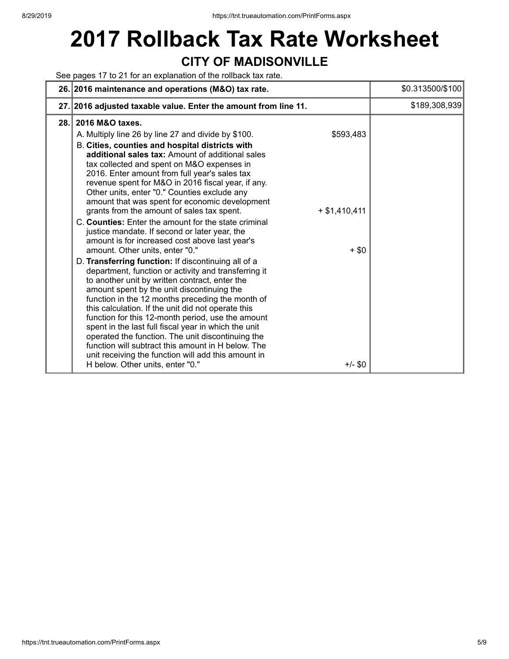# **2017 Rollback Tax Rate Worksheet CITY OF MADISONVILLE**

See pages 17 to 21 for an explanation of the rollback tax rate.

|      | 26. 2016 maintenance and operations (M&O) tax rate.                                                                                                                                                                                                                                                                                                                                                                                                                                                                                                                                                                                                                                                                                                                                                                                                                                                                                                                                                                                                                                                                                                                                                                                                                                                                                                                                 | \$0.313500/\$100 |
|------|-------------------------------------------------------------------------------------------------------------------------------------------------------------------------------------------------------------------------------------------------------------------------------------------------------------------------------------------------------------------------------------------------------------------------------------------------------------------------------------------------------------------------------------------------------------------------------------------------------------------------------------------------------------------------------------------------------------------------------------------------------------------------------------------------------------------------------------------------------------------------------------------------------------------------------------------------------------------------------------------------------------------------------------------------------------------------------------------------------------------------------------------------------------------------------------------------------------------------------------------------------------------------------------------------------------------------------------------------------------------------------------|------------------|
|      | 27. 2016 adjusted taxable value. Enter the amount from line 11.                                                                                                                                                                                                                                                                                                                                                                                                                                                                                                                                                                                                                                                                                                                                                                                                                                                                                                                                                                                                                                                                                                                                                                                                                                                                                                                     | \$189,308,939    |
| 28.1 | 2016 M&O taxes.<br>A. Multiply line 26 by line 27 and divide by \$100.<br>\$593,483<br>B. Cities, counties and hospital districts with<br>additional sales tax: Amount of additional sales<br>tax collected and spent on M&O expenses in<br>2016. Enter amount from full year's sales tax<br>revenue spent for M&O in 2016 fiscal year, if any.<br>Other units, enter "0." Counties exclude any<br>amount that was spent for economic development<br>grants from the amount of sales tax spent.<br>$+ $1,410,411$<br>C. Counties: Enter the amount for the state criminal<br>justice mandate. If second or later year, the<br>amount is for increased cost above last year's<br>amount. Other units, enter "0."<br>$+$ \$0<br>D. Transferring function: If discontinuing all of a<br>department, function or activity and transferring it<br>to another unit by written contract, enter the<br>amount spent by the unit discontinuing the<br>function in the 12 months preceding the month of<br>this calculation. If the unit did not operate this<br>function for this 12-month period, use the amount<br>spent in the last full fiscal year in which the unit<br>operated the function. The unit discontinuing the<br>function will subtract this amount in H below. The<br>unit receiving the function will add this amount in<br>H below. Other units, enter "0."<br>$+/-$ \$0 |                  |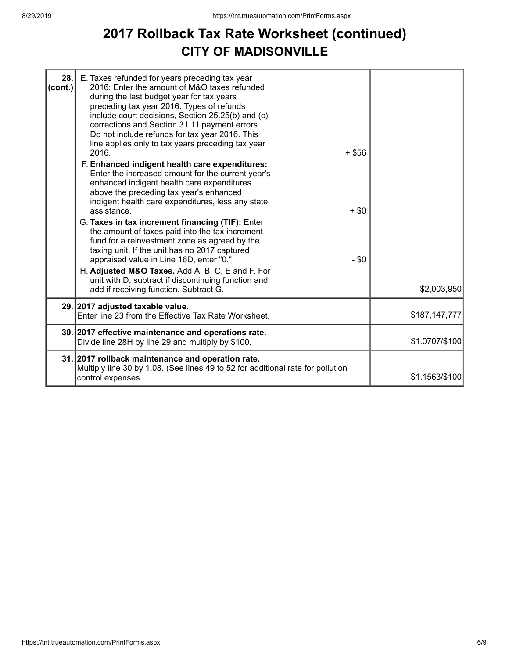#### **2017 Rollback Tax Rate Worksheet (continued) CITY OF MADISONVILLE**

| 28.<br>(cont.) | E. Taxes refunded for years preceding tax year<br>2016: Enter the amount of M&O taxes refunded<br>during the last budget year for tax years<br>preceding tax year 2016. Types of refunds<br>include court decisions, Section 25.25(b) and (c)<br>corrections and Section 31.11 payment errors.<br>Do not include refunds for tax year 2016. This<br>line applies only to tax years preceding tax year<br>2016.<br>F. Enhanced indigent health care expenditures: | $+$ \$56 |                |
|----------------|------------------------------------------------------------------------------------------------------------------------------------------------------------------------------------------------------------------------------------------------------------------------------------------------------------------------------------------------------------------------------------------------------------------------------------------------------------------|----------|----------------|
|                | Enter the increased amount for the current year's<br>enhanced indigent health care expenditures<br>above the preceding tax year's enhanced<br>indigent health care expenditures, less any state<br>assistance.                                                                                                                                                                                                                                                   | $+$ \$0  |                |
|                | G. Taxes in tax increment financing (TIF): Enter<br>the amount of taxes paid into the tax increment<br>fund for a reinvestment zone as agreed by the<br>taxing unit. If the unit has no 2017 captured<br>appraised value in Line 16D, enter "0."                                                                                                                                                                                                                 | - \$0    |                |
|                | H. Adjusted M&O Taxes. Add A, B, C, E and F. For<br>unit with D, subtract if discontinuing function and<br>add if receiving function. Subtract G.                                                                                                                                                                                                                                                                                                                |          | \$2,003,950    |
|                | 29. 2017 adjusted taxable value.<br>Enter line 23 from the Effective Tax Rate Worksheet.                                                                                                                                                                                                                                                                                                                                                                         |          | \$187,147,777  |
|                | 30. 2017 effective maintenance and operations rate.<br>Divide line 28H by line 29 and multiply by \$100.                                                                                                                                                                                                                                                                                                                                                         |          | \$1.0707/\$100 |
|                | 31. 2017 rollback maintenance and operation rate.<br>Multiply line 30 by 1.08. (See lines 49 to 52 for additional rate for pollution<br>control expenses.                                                                                                                                                                                                                                                                                                        |          | \$1.1563/\$100 |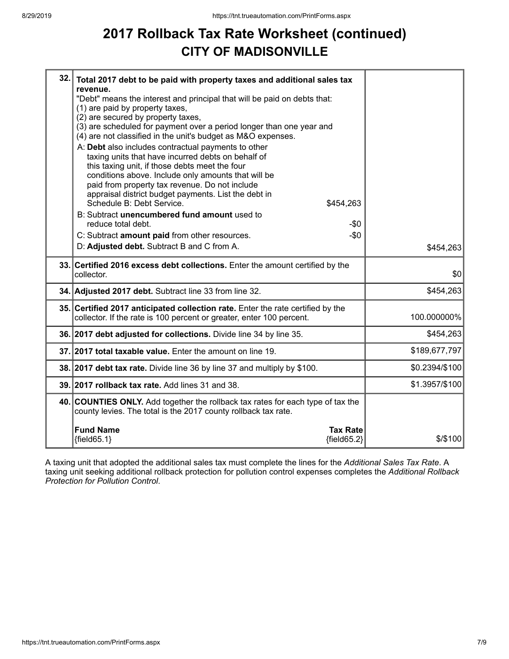## **2017 Rollback Tax Rate Worksheet (continued) CITY OF MADISONVILLE**

| 32. | Total 2017 debt to be paid with property taxes and additional sales tax<br>revenue.<br>"Debt" means the interest and principal that will be paid on debts that:<br>(1) are paid by property taxes,<br>(2) are secured by property taxes,<br>(3) are scheduled for payment over a period longer than one year and<br>(4) are not classified in the unit's budget as M&O expenses.<br>A: Debt also includes contractual payments to other<br>taxing units that have incurred debts on behalf of<br>this taxing unit, if those debts meet the four<br>conditions above. Include only amounts that will be<br>paid from property tax revenue. Do not include<br>appraisal district budget payments. List the debt in<br>Schedule B: Debt Service.<br>\$454,263 |                |
|-----|------------------------------------------------------------------------------------------------------------------------------------------------------------------------------------------------------------------------------------------------------------------------------------------------------------------------------------------------------------------------------------------------------------------------------------------------------------------------------------------------------------------------------------------------------------------------------------------------------------------------------------------------------------------------------------------------------------------------------------------------------------|----------------|
|     | B: Subtract unencumbered fund amount used to<br>reduce total debt.<br>-\$0                                                                                                                                                                                                                                                                                                                                                                                                                                                                                                                                                                                                                                                                                 |                |
|     | C: Subtract amount paid from other resources.<br>$-\$0$<br>D: Adjusted debt. Subtract B and C from A.                                                                                                                                                                                                                                                                                                                                                                                                                                                                                                                                                                                                                                                      | \$454,263      |
|     |                                                                                                                                                                                                                                                                                                                                                                                                                                                                                                                                                                                                                                                                                                                                                            |                |
|     | 33. Certified 2016 excess debt collections. Enter the amount certified by the<br>collector.                                                                                                                                                                                                                                                                                                                                                                                                                                                                                                                                                                                                                                                                | \$0            |
|     | 34. Adjusted 2017 debt. Subtract line 33 from line 32.                                                                                                                                                                                                                                                                                                                                                                                                                                                                                                                                                                                                                                                                                                     | \$454,263      |
|     | 35. Certified 2017 anticipated collection rate. Enter the rate certified by the<br>collector. If the rate is 100 percent or greater, enter 100 percent.                                                                                                                                                                                                                                                                                                                                                                                                                                                                                                                                                                                                    | 100.000000%    |
|     | 36. 2017 debt adjusted for collections. Divide line 34 by line 35.                                                                                                                                                                                                                                                                                                                                                                                                                                                                                                                                                                                                                                                                                         | \$454,263      |
|     | 37. 2017 total taxable value. Enter the amount on line 19.                                                                                                                                                                                                                                                                                                                                                                                                                                                                                                                                                                                                                                                                                                 | \$189,677,797  |
|     | 38. 2017 debt tax rate. Divide line 36 by line 37 and multiply by \$100.                                                                                                                                                                                                                                                                                                                                                                                                                                                                                                                                                                                                                                                                                   | \$0.2394/\$100 |
|     | 39. 2017 rollback tax rate. Add lines 31 and 38.                                                                                                                                                                                                                                                                                                                                                                                                                                                                                                                                                                                                                                                                                                           | \$1.3957/\$100 |
|     | 40. COUNTIES ONLY. Add together the rollback tax rates for each type of tax the<br>county levies. The total is the 2017 county rollback tax rate.                                                                                                                                                                                                                                                                                                                                                                                                                                                                                                                                                                                                          |                |
|     | <b>Fund Name</b><br><b>Tax Rate</b><br>${fields5.1}$<br>${fields2}$                                                                                                                                                                                                                                                                                                                                                                                                                                                                                                                                                                                                                                                                                        | $$$ /\$100     |

A taxing unit that adopted the additional sales tax must complete the lines for the *Additional Sales Tax Rate*. A taxing unit seeking additional rollback protection for pollution control expenses completes the *Additional Rollback Protection for Pollution Control*.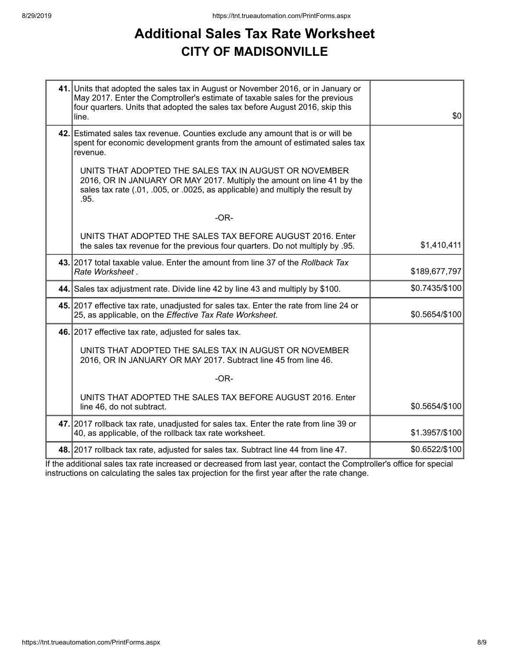## **Additional Sales Tax Rate Worksheet CITY OF MADISONVILLE**

| 41. Units that adopted the sales tax in August or November 2016, or in January or<br>May 2017. Enter the Comptroller's estimate of taxable sales for the previous<br>four quarters. Units that adopted the sales tax before August 2016, skip this<br>line. | \$0            |
|-------------------------------------------------------------------------------------------------------------------------------------------------------------------------------------------------------------------------------------------------------------|----------------|
| 42. Estimated sales tax revenue. Counties exclude any amount that is or will be<br>spent for economic development grants from the amount of estimated sales tax<br>revenue.                                                                                 |                |
| UNITS THAT ADOPTED THE SALES TAX IN AUGUST OR NOVEMBER<br>2016, OR IN JANUARY OR MAY 2017. Multiply the amount on line 41 by the<br>sales tax rate (.01, .005, or .0025, as applicable) and multiply the result by<br>.95.                                  |                |
| $-OR-$                                                                                                                                                                                                                                                      |                |
| UNITS THAT ADOPTED THE SALES TAX BEFORE AUGUST 2016. Enter<br>the sales tax revenue for the previous four quarters. Do not multiply by .95.                                                                                                                 | \$1,410,411    |
| 43. 2017 total taxable value. Enter the amount from line 37 of the Rollback Tax<br>Rate Worksheet.                                                                                                                                                          | \$189,677,797  |
| 44. Sales tax adjustment rate. Divide line 42 by line 43 and multiply by \$100.                                                                                                                                                                             | \$0.7435/\$100 |
| 45. 2017 effective tax rate, unadjusted for sales tax. Enter the rate from line 24 or<br>25, as applicable, on the Effective Tax Rate Worksheet.                                                                                                            | \$0.5654/\$100 |
| 46. 2017 effective tax rate, adjusted for sales tax.                                                                                                                                                                                                        |                |
| UNITS THAT ADOPTED THE SALES TAX IN AUGUST OR NOVEMBER<br>2016, OR IN JANUARY OR MAY 2017. Subtract line 45 from line 46.                                                                                                                                   |                |
| $-OR-$                                                                                                                                                                                                                                                      |                |
| UNITS THAT ADOPTED THE SALES TAX BEFORE AUGUST 2016. Enter<br>line 46, do not subtract.                                                                                                                                                                     | \$0.5654/\$100 |
| 47. 2017 rollback tax rate, unadjusted for sales tax. Enter the rate from line 39 or<br>40, as applicable, of the rollback tax rate worksheet.                                                                                                              | \$1.3957/\$100 |
| 48. 2017 rollback tax rate, adjusted for sales tax. Subtract line 44 from line 47.                                                                                                                                                                          | \$0.6522/\$100 |

If the additional sales tax rate increased or decreased from last year, contact the Comptroller's office for special instructions on calculating the sales tax projection for the first year after the rate change.